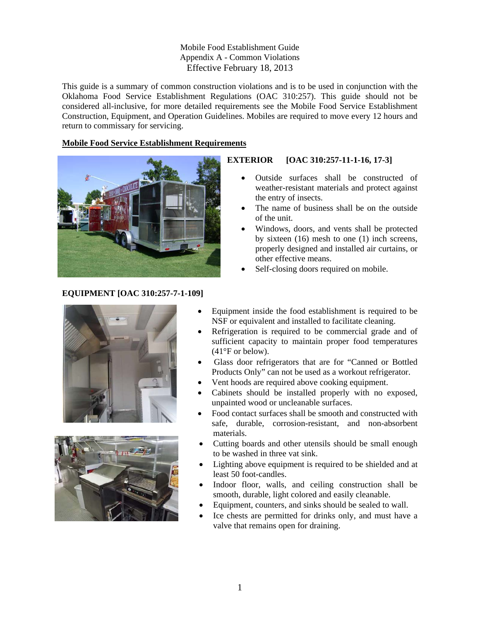Mobile Food Establishment Guide Appendix A - Common Violations Effective February 18, 2013

This guide is a summary of common construction violations and is to be used in conjunction with the Oklahoma Food Service Establishment Regulations (OAC 310:257). This guide should not be considered all-inclusive, for more detailed requirements see the Mobile Food Service Establishment Construction, Equipment, and Operation Guidelines. Mobiles are required to move every 12 hours and return to commissary for servicing.

#### **Mobile Food Service Establishment Requirements**



### **EQUIPMENT [OAC 310:257-7-1-109]**



# **EXTERIOR [OAC 310:257-11-1-16, 17-3]**

- Outside surfaces shall be constructed of weather-resistant materials and protect against the entry of insects.
- The name of business shall be on the outside of the unit.
- Windows, doors, and vents shall be protected by sixteen (16) mesh to one (1) inch screens, properly designed and installed air curtains, or other effective means.
- Self-closing doors required on mobile.
- Equipment inside the food establishment is required to be NSF or equivalent and installed to facilitate cleaning.
- Refrigeration is required to be commercial grade and of sufficient capacity to maintain proper food temperatures (41°F or below).
- Glass door refrigerators that are for "Canned or Bottled Products Only" can not be used as a workout refrigerator.
- Vent hoods are required above cooking equipment.
- Cabinets should be installed properly with no exposed, unpainted wood or uncleanable surfaces.
- Food contact surfaces shall be smooth and constructed with safe, durable, corrosion-resistant, and non-absorbent materials.
- Cutting boards and other utensils should be small enough to be washed in three vat sink.
- Lighting above equipment is required to be shielded and at least 50 foot-candles.
- Indoor floor, walls, and ceiling construction shall be smooth, durable, light colored and easily cleanable.
- Equipment, counters, and sinks should be sealed to wall.
- Ice chests are permitted for drinks only, and must have a valve that remains open for draining.